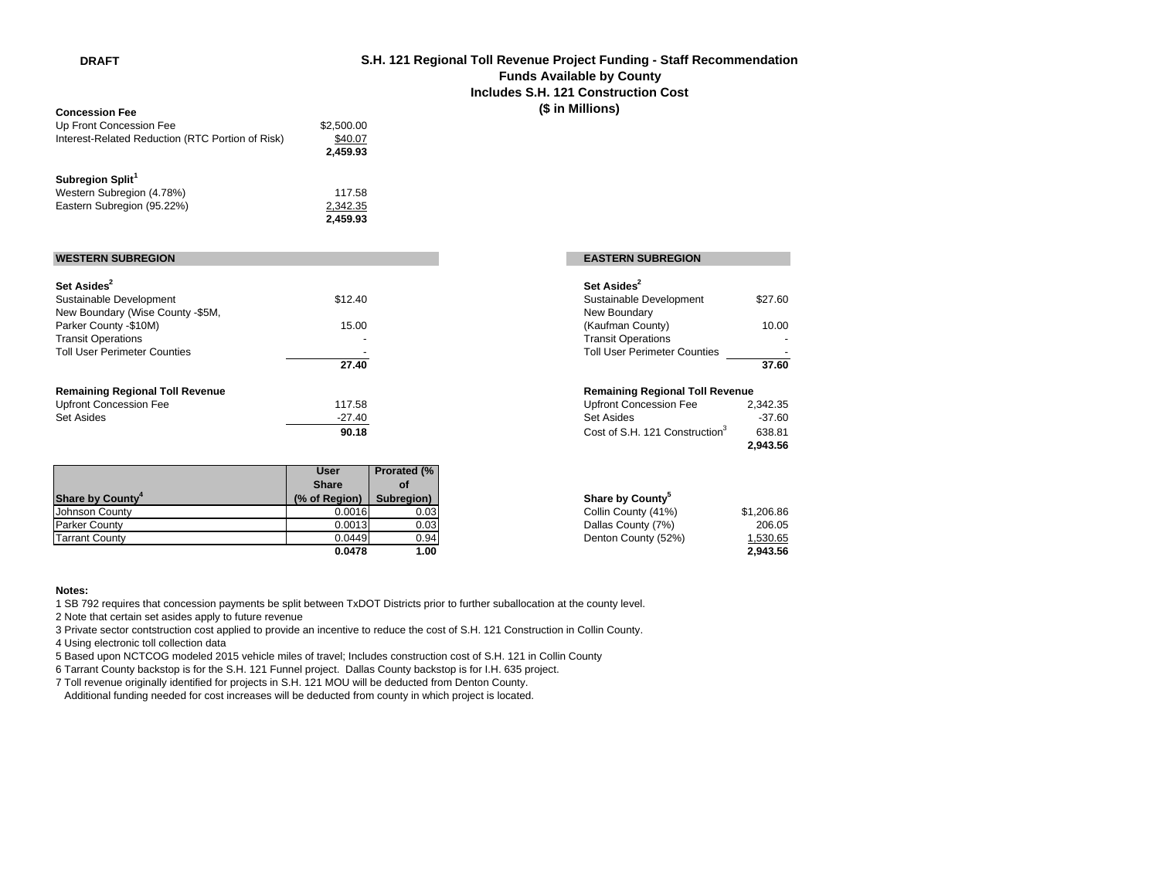**DRAFT**

## **S.H. 121 Regional Toll Revenue Project Funding - Staff Recommendation Funds Available by County Includes S.H. 121 Construction Cost(\$ in Millions)**

| <b>Concession Fee</b>                            |            |
|--------------------------------------------------|------------|
| Up Front Concession Fee                          | \$2,500.00 |
| Interest-Related Reduction (RTC Portion of Risk) | \$40.07    |
|                                                  | 2.459.93   |
|                                                  |            |

## **Subregion Split<sup>1</sup><br>Western Subregio**

| Western Subregion (4.78%)  | 117.58   |
|----------------------------|----------|
| Eastern Subregion (95.22%) | 2,342.35 |
|                            | 245993   |

## **WESTERN SUBREGION**

| Set Asides <sup>2</sup>                |          | Set Asides <sup>2</sup>                    |          |
|----------------------------------------|----------|--------------------------------------------|----------|
| Sustainable Development                | \$12.40  | Sustainable Development                    | \$27.60  |
| New Boundary (Wise County -\$5M,       |          | New Boundary                               |          |
| Parker County -\$10M)                  | 15.00    | (Kaufman County)                           | 10.00    |
| <b>Transit Operations</b>              |          | <b>Transit Operations</b>                  |          |
| <b>Toll User Perimeter Counties</b>    |          | <b>Toll User Perimeter Counties</b>        |          |
|                                        | 27.40    |                                            | 37.60    |
| <b>Remaining Regional Toll Revenue</b> |          | <b>Remaining Regional Toll Revenue</b>     |          |
| <b>Upfront Concession Fee</b>          | 117.58   | <b>Upfront Concession Fee</b>              | 2,342.35 |
| Set Asides                             | $-27.40$ | Set Asides                                 | $-37.60$ |
|                                        | 90.18    | Cost of S.H. 121 Construction <sup>3</sup> | 638.81   |

|                              | <b>User</b>   | <b>Prorated (%)</b> |                              |            |
|------------------------------|---------------|---------------------|------------------------------|------------|
|                              | <b>Share</b>  | οf                  |                              |            |
| Share by County <sup>4</sup> | (% of Region) | Subregion)          | Share by County <sup>5</sup> |            |
| Johnson County               | 0.0016        | 0.03                | Collin County (41%)          | \$1,206.86 |
| <b>Parker County</b>         | 0.0013        | 0.03                | Dallas County (7%)           | 206.05     |
| <b>Tarrant County</b>        | 0.0449        | 0.94                | Denton County (52%)          | .530.65    |
|                              | 0.0478        | 1.00                |                              | 2.943.56   |

# **EASTERN SUBREGION**

|                         | Set Asides <sup>2</sup>             |         |
|-------------------------|-------------------------------------|---------|
| 0                       | Sustainable Development             | \$27.60 |
|                         | New Boundary                        |         |
| 0                       | (Kaufman County)                    | 10.00   |
|                         | <b>Transit Operations</b>           |         |
|                         | <b>Toll User Perimeter Counties</b> |         |
| $\overline{\mathbf{0}}$ |                                     | 37.60   |

### **Remaining Regional Toll Revenue Remaining Regional Toll Revenue**

| 8 | Upfront Concession Fee                     | 2.342.35 |
|---|--------------------------------------------|----------|
|   | Set Asides                                 | $-37.60$ |
| 8 | Cost of S.H. 121 Construction <sup>3</sup> | 638.81   |
|   |                                            | 2.943.56 |
|   |                                            |          |

| gion)   | Subregion) | Share by County <sup>5</sup> |            |
|---------|------------|------------------------------|------------|
| 0.0016l | 0.03       | Collin County (41%)          | \$1,206.86 |
| 0.0013  | 0.03       | Dallas County (7%)           | 206.05     |
| 0.0449  | 0.94       | Denton County (52%)          | 1,530.65   |
| 0.0478  | 1.00       |                              | 2.943.56   |

#### **Notes:**

1 SB 792 requires that concession payments be split between TxDOT Districts prior to further suballocation at the county level.

2,342.35 **2,459.93**

2 Note that certain set asides apply to future revenue

3 Private sector contstruction cost applied to provide an incentive to reduce the cost of S.H. 121 Construction in Collin County.

4 Using electronic toll collection data

5 Based upon NCTCOG modeled 2015 vehicle miles of travel; Includes construction cost of S.H. 121 in Collin County

6 Tarrant County backstop is for the S.H. 121 Funnel project. Dallas County backstop is for I.H. 635 project.

7 Toll revenue originally identified for projects in S.H. 121 MOU will be deducted from Denton County.

Additional funding needed for cost increases will be deducted from county in which project is located.